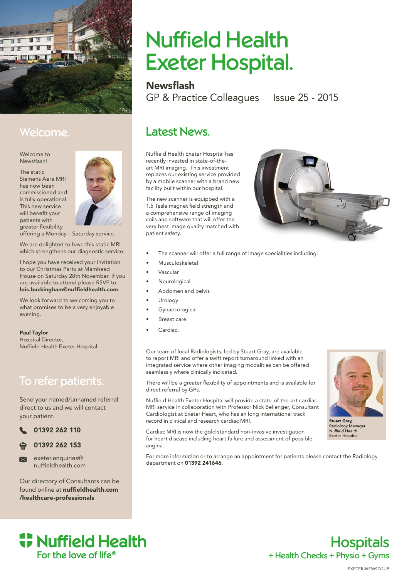

## Welcome.

Welcome to Newsflash!

The static Siemens Aera MRI has now been commissioned and is fully operational. This new service will benefit your patients with greater flexibility



offering a Monday – Saturday service.

We are delighted to have this static MRI which strengthens our diagnostic service.

I hope you have received your invitation to our Christmas Party at Mamhead House on Saturday 28th November. If you are available to attend please RSVP to lois.buckingham@nuffieldhealth.com.

We look forward to welcoming you to what promises to be a very enjoyable evening.

Paul Taylor Hospital Director, Nuffield Health Exeter Hospital

## To refer patients.

Send your named/unnamed referral direct to us and we will contact your patient.

01392 262 110



exeter.enquiries@  $\overline{\mathbf{M}}$ nuffieldhealth.com

Our directory of Consultants can be found online at **nuffieldhealth.com** /healthcare-professionals

# Nuffield Health Exeter Hospital.

**Newsflash** 

GP & Practice Colleagues Issue 25 - 2015

## Latest News.

Nuffield Health Exeter Hospital has recently invested in state-of-theart MRI imaging. This investment replaces our existing service provided by a mobile scanner with a brand new facility built within our hospital.

The new scanner is equipped with a 1.5 Tesla magnet field strength and a comprehensive range of imaging coils and software that will offer the very best image quality matched with patient safety.



- The scanner will offer a full range of image specialities including:
- Musculoskeletal
- Vascular
- **Neurological**
- Abdomen and pelvis
- **Urology**
- **Gynaecological**
- Breast care
- Cardiac.

Our team of local Radiologists, led by Stuart Gray, are available to report MRI and offer a swift report turnaround linked with an integrated service where other imaging modalities can be offered seamlessly where clinically indicated.

There will be a greater flexibility of appointments and is available for direct referral by GPs.

Nuffield Health Exeter Hospital will provide a state-of-the-art cardiac MRI service in collaboration with Professor Nick Bellenger, Consultant Cardiologist at Exeter Heart, who has an long international track record in clinical and research cardiac MRI.

Cardiac MRI is now the gold standard non-invasive investigation for heart disease including heart failure and assessment of possible angina.

For more information or to arrange an appointment for patients please contact the Radiology department on 01392 241646.



Stuart Gray, Radiology Manager Nuffield Health Exeter Hospital



+ Health Checks + Physio + Gyms **Hospitals**